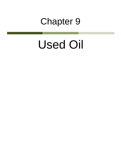## Chapter 9

## Used Oil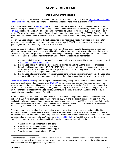## **Used Oil Characterization**

To characterize used oil, follow the waste characterization steps found in Section 2 of the [Waste Characterization](http://www.michigan.gov/documents/deq/Waste_Characterization_Total_DocumentRev_460921_7.pdf)  [Reference Book.](http://www.michigan.gov/documents/deq/Waste_Characterization_Total_DocumentRev_460921_7.pdf) You must also perform the following additional steps when evaluating used oil.

In Michigan, Rule 809 of the [Part 111 rules](http://www.michigan.gov/documents/deq/deq-whm-hwp-Part111Rules_248146_7.pdf) (R 299.9809) defines what is, and is not, subject to regulation as a used oil and liquid industrial waste versus regulation as a hazardous waste. Additionally, Section 12102a(b) of [Part 121](http://www.legislature.mi.gov/(S(sylmwj2w3funw245khxxfk55))/documents/mcl/pdf/mcl-451-1994-ii-3-121.pdf) specifies when reclaimed used oil can be managed as fuel and is no longer subject to regulation as a waste. To verify the regulatory status of used oil and to meet the requirements of Rule 202(5) of the Part 111 rules, used oil handlers must maintain sufficient documentation to demonstrate the regulatory status of their used oil.

In Michigan, used oil cannot be mixed with halogenated listed hazardous waste, regardless of the generator regulatory status (conditionally exempt small quantity generator [CESQG], small quantity generator or large quantity generator) and retain regulatory status as a used oil.<sup>[1](#page-1-0)</sup>

Moreover, used oil that exceeds 1000 parts per million (ppm) total halogen content is presumed to have been mixed with halogenated hazardous waste and is subject to hazardous waste regulation. The used oil generator can successfully rebut this presumption by demonstrating the following utilizing knowledge of the total halogen content of the used oil backed by documentation and/or analytical test data, as appropriate:

- 1. that the used oil does not contain significant concentrations of halogenated hazardous constituents listed in [40 C.F.R. part 261, Appendix VIII;](http://www.ecfr.gov/cgi-bin/text-idx?SID=5fd258e8661d90c4c4fa7bc58dab97ca&node=pt40.26.261&rgn=div5%23ap40.26.261_1151.viii)
- 2. that the used oil is a metalworking oil containing chlorinated paraffins and the used oil is processed through a tolling agreement per 40 C.F.R. §279.24(c). If the used oil containing chlorinated paraffins is reclaimed\recycled in any other manner, the generator must still rebut the presumption that the used oil was mixed with listed halogenated hazardous waste.
- 3. that the used oil is contaminated with chlorofluorocarbons removed from refrigeration units, the used oil is not mixed with other non-refrigeration used oil, and the chlorofluorocarbons in the oil are reclaimed.

[Rebutting the presumption](http://www.epa.gov/epawaste/conserve/materials/usedoil/oil-rebut.pdf) is generally requires costly laboratory testing. To maintain the value of used oil and ensure it is easily recycled as required under [Part 167,](http://www.michiganlegislature.org/mileg.asp?page=getObject&objName=mcl-451-1994-II-5-167&highlight=) be sure to manage your used oil separate from other waste streams. If the used oil is determined to be subject to regulation as used oil (e.g. it is not a presumed or known hazardous waste), it is also subject to regulation as a liquid industrial waste. Consequently, the used oil must be managed to meet both the used oil regulations found in Part 8 of the Part 111 Rules and the liquid industrial waste regulations found in Part 121.

Before evaluating whether used oil can be recycled and reused as a fuel product, the level of polychlorinated biphenyl (PCB) in the oil must be determined. Per Rule 809(1)(f) and the Toxic Substance Control Act, PCB levels in the oil cannot exceed 2 ppm. Moreover, most air use permits limit the PCB level to 1 ppm. Both levels are intended to represent the method detection level for PCBs when testing oil. Thus, these limits represent a practical way to prohibit PCBs in oil that is intended to be burned as fuel.

To market used oil as a product that is not subject to waste regulation, the generator or designated facility managing the used oil must meet the used oil marketer requirements found in Rule 815 of the Part 111 rules and the relevant Part 121 requirements that apply. The used oil marketer must demonstrate the used oil is a "material not specified as a liquid industrial waste" pursuant to [Section 12102a\(](http://www.legislature.mi.gov/(S(sylmwj2w3funw245khxxfk55))/mileg.aspx?page=getObject&objectName=mcl-324-12102a)b) of Part 121 and meets the following "specification used oil" (also called on-specification used oil or on-spec used oil) criteria:

- A maximum arsenic concentration of 5 ppm
- A maximum cadmium concentration of 2 ppm
- A maximum chromium concentration of 10 ppm
- A maximum lead concentration of 100 ppm

 $\overline{\phantom{0}}$ 

<span id="page-1-0"></span> $1$  Under the federal Resource Conservation and Recovery Act (RCRA) listed halogenated hazardous waste generated by a CESQG *can* be mixed with used oil and the mixture retains its regulatory status as used oil provided the resulting mixture does not exceed 1000 parts ppm total halogen content.